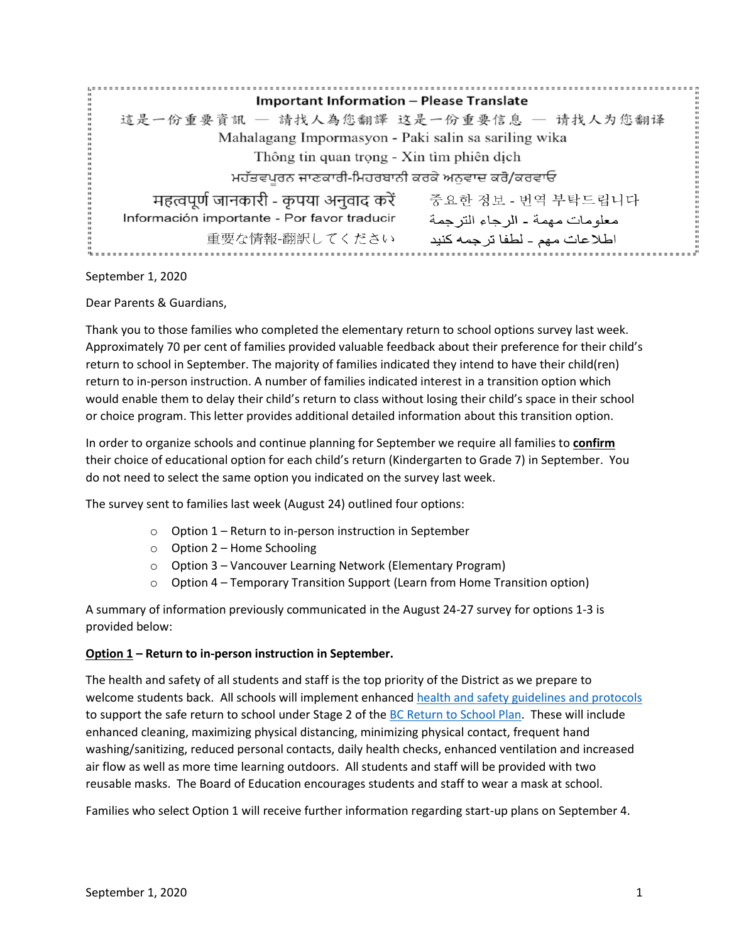| <b>Important Information - Please Translate</b>      |                                  |
|------------------------------------------------------|----------------------------------|
| 這是一份重要資訊 – 請找人為您翻譯 这是一份重要信息 – 请找人为您翻译                |                                  |
| Mahalagang Impormasyon - Paki salin sa sariling wika |                                  |
| Thông tin quan trọng - Xin tìm phiên dịch            |                                  |
| ਮਹੱਤਵਪੂਰਨ ਜਾਣਕਾਰੀ-ਮਿਹਰਬਾਨੀ ਕਰਕੇ ਅਨੁਵਾਦ ਕਰੋ/ਕਰਵਾਓ     |                                  |
| महत्वपूर्ण जानकारी - कृपया अनुवाद करें               | 중요한 정보 - 번역 부탁드립니다               |
| Información importante - Por favor traducir          | معلو مات مهمة ـ الر جاء التر جمة |
| 重要な情報-翻訳してください                                       | اطلاعات مهم - لطفا ترجمه كنيد    |

September 1, 2020

Dear Parents & Guardians,

Thank you to those families who completed the elementary return to school options survey last week. Approximately 70 per cent of families provided valuable feedback about their preference for their child's return to school in September. The majority of families indicated they intend to have their child(ren) return to in-person instruction. A number of families indicated interest in a transition option which would enable them to delay their child's return to class without losing their child's space in their school or choice program. This letter provides additional detailed information about this transition option.

In order to organize schools and continue planning for September we require all families to **confirm** their choice of educational option for each child's return (Kindergarten to Grade 7) in September. You do not need to select the same option you indicated on the survey last week.

The survey sent to families last week (August 24) outlined four options:

- o Option 1 Return to in-person instruction in September
- o Option 2 Home Schooling
- o Option 3 Vancouver Learning Network (Elementary Program)
- o Option 4 Temporary Transition Support (Learn from Home Transition option)

A summary of information previously communicated in the August 24-27 survey for options 1-3 is provided below:

## **Option 1 – Return to in-person instruction in September.**

The health and safety of all students and staff is the top priority of the District as we prepare to welcome students back. All schools will implement enhanced [health and safety guidelines](http://www.vsb.bc.ca/News/Documents/SafetyPlanProtocols.pdf) and protocols to support the safe return to school under Stage 2 of the [BC Return to School Plan.](https://www2.gov.bc.ca/gov/content/safety/emergency-preparedness-response-recovery/covid-19-provincial-support/bc-restart-plan) These will include enhanced cleaning, maximizing physical distancing, minimizing physical contact, frequent hand washing/sanitizing, reduced personal contacts, daily health checks, enhanced ventilation and increased air flow as well as more time learning outdoors. All students and staff will be provided with two reusable masks. The Board of Education encourages students and staff to wear a mask at school.

Families who select Option 1 will receive further information regarding start-up plans on September 4.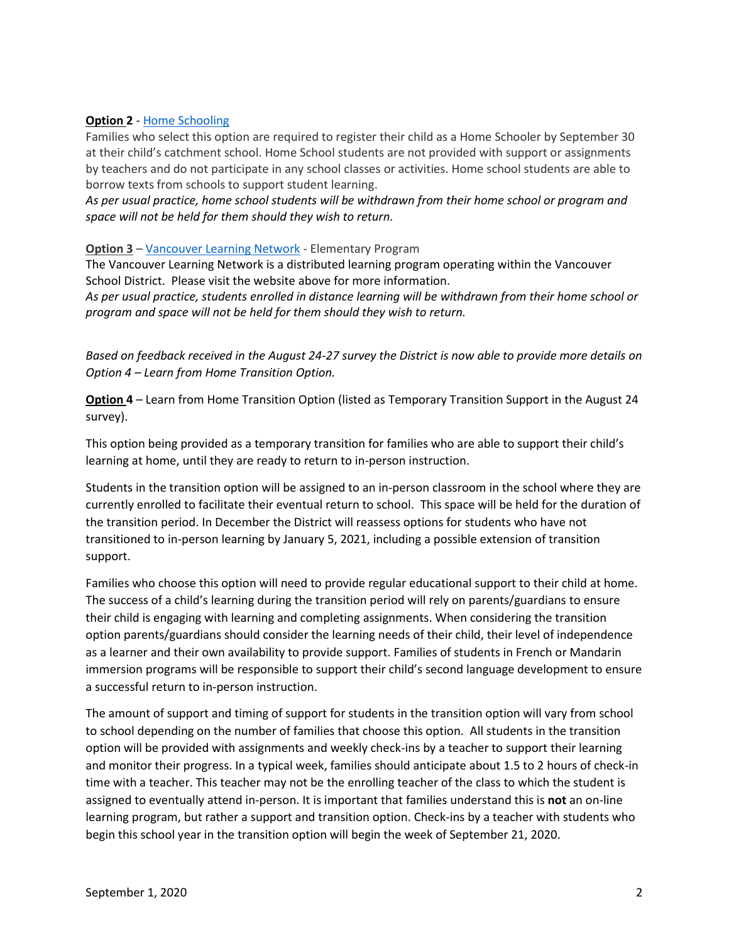## **Option 2** - [Home Schooling](https://www2.gov.bc.ca/gov/content/education-training/k-12/support/classroom-alternatives/homeschooling)

Families who select this option are required to register their child as a Home Schooler by September 30 at their child's catchment school. Home School students are not provided with support or assignments by teachers and do not participate in any school classes or activities. Home school students are able to borrow texts from schools to support student learning.

*As per usual practice, home school students will be withdrawn from their home school or program and space will not be held for them should they wish to return.* 

## **Option 3** – [Vancouver Learning Network](http://vlns.ca/our-school/elementary) - Elementary Program

The Vancouver Learning Network is a distributed learning program operating within the Vancouver School District. Please visit the website above for more information.

*As per usual practice, students enrolled in distance learning will be withdrawn from their home school or program and space will not be held for them should they wish to return.* 

*Based on feedback received in the August 24-27 survey the District is now able to provide more details on Option 4 – Learn from Home Transition Option.*

**Option 4** – Learn from Home Transition Option (listed as Temporary Transition Support in the August 24 survey).

This option being provided as a temporary transition for families who are able to support their child's learning at home, until they are ready to return to in-person instruction.

Students in the transition option will be assigned to an in-person classroom in the school where they are currently enrolled to facilitate their eventual return to school. This space will be held for the duration of the transition period. In December the District will reassess options for students who have not transitioned to in-person learning by January 5, 2021, including a possible extension of transition support.

Families who choose this option will need to provide regular educational support to their child at home. The success of a child's learning during the transition period will rely on parents/guardians to ensure their child is engaging with learning and completing assignments. When considering the transition option parents/guardians should consider the learning needs of their child, their level of independence as a learner and their own availability to provide support. Families of students in French or Mandarin immersion programs will be responsible to support their child's second language development to ensure a successful return to in-person instruction.

The amount of support and timing of support for students in the transition option will vary from school to school depending on the number of families that choose this option. All students in the transition option will be provided with assignments and weekly check-ins by a teacher to support their learning and monitor their progress. In a typical week, families should anticipate about 1.5 to 2 hours of check-in time with a teacher. This teacher may not be the enrolling teacher of the class to which the student is assigned to eventually attend in-person. It is important that families understand this is **not** an on-line learning program, but rather a support and transition option. Check-ins by a teacher with students who begin this school year in the transition option will begin the week of September 21, 2020.